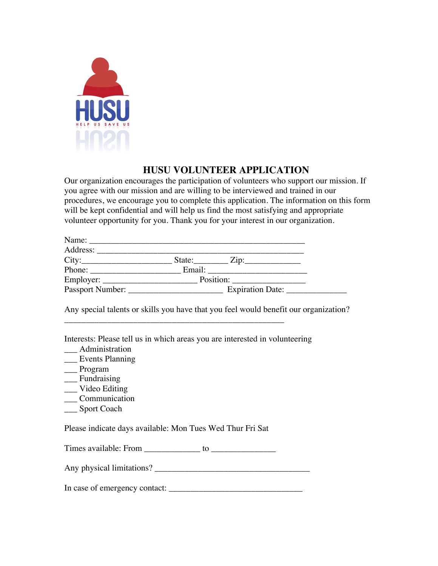

## **HUSU VOLUNTEER APPLICATION**

Our organization encourages the participation of volunteers who support our mission. If you agree with our mission and are willing to be interviewed and trained in our procedures, we encourage you to complete this application. The information on this form will be kept confidential and will help us find the most satisfying and appropriate volunteer opportunity for you. Thank you for your interest in our organization.

| Name:            |                                                  |                  |
|------------------|--------------------------------------------------|------------------|
| Address:         |                                                  |                  |
| City:            | State: $\qquad \qquad \text{Zip:} \qquad \qquad$ |                  |
| Phone:           | Email:                                           |                  |
|                  |                                                  | Position:        |
| Passport Number: |                                                  | Expiration Date: |

Any special talents or skills you have that you feel would benefit our organization?

Interests: Please tell us in which areas you are interested in volunteering

\_\_\_\_\_\_\_\_\_\_\_\_\_\_\_\_\_\_\_\_\_\_\_\_\_\_\_\_\_\_\_\_\_\_\_\_\_\_\_\_\_\_\_\_\_\_\_\_\_\_\_

- \_\_\_ Administration
- \_\_\_ Events Planning
- \_\_\_ Program
- \_\_\_ Fundraising
- \_\_\_ Video Editing
- \_\_\_ Communication
- \_\_\_ Sport Coach

Please indicate days available: Mon Tues Wed Thur Fri Sat

Times available: From \_\_\_\_\_\_\_\_\_\_\_\_\_ to \_\_\_\_\_\_\_\_\_\_\_\_\_\_\_

Any physical limitations? \_\_\_\_\_\_\_\_\_\_\_\_\_\_\_\_\_\_\_\_\_\_\_\_\_\_\_\_\_\_\_\_\_\_\_\_

In case of emergency contact: \_\_\_\_\_\_\_\_\_\_\_\_\_\_\_\_\_\_\_\_\_\_\_\_\_\_\_\_\_\_\_